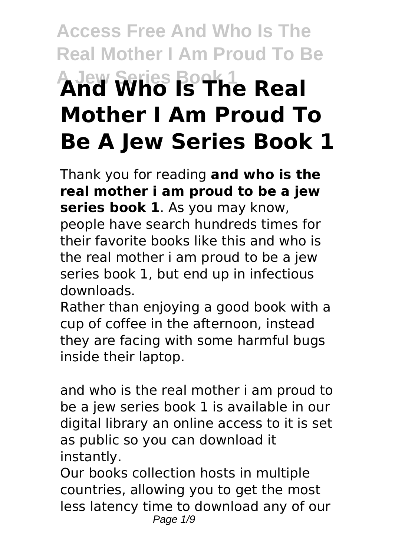# **Access Free And Who Is The Real Mother I Am Proud To Be A Jew Series Book 1 And Who Is The Real Mother I Am Proud To Be A Jew Series Book 1**

Thank you for reading **and who is the real mother i am proud to be a jew series book 1**. As you may know, people have search hundreds times for their favorite books like this and who is the real mother i am proud to be a jew series book 1, but end up in infectious downloads.

Rather than enjoying a good book with a cup of coffee in the afternoon, instead they are facing with some harmful bugs inside their laptop.

and who is the real mother i am proud to be a jew series book 1 is available in our digital library an online access to it is set as public so you can download it instantly.

Our books collection hosts in multiple countries, allowing you to get the most less latency time to download any of our Page 1/9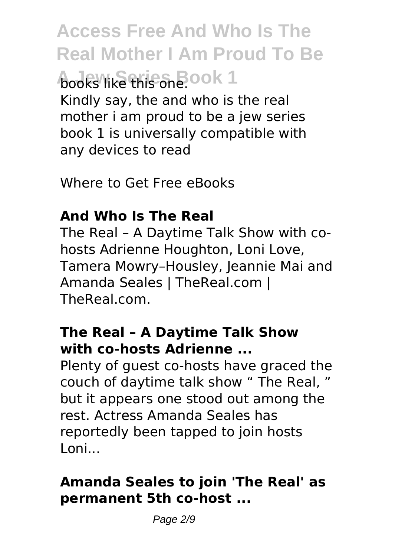**Access Free And Who Is The Real Mother I Am Proud To Be A** obey Keenies Book 1 Kindly say, the and who is the real mother i am proud to be a jew series book 1 is universally compatible with any devices to read

Where to Get Free eBooks

# **And Who Is The Real**

The Real – A Daytime Talk Show with cohosts Adrienne Houghton, Loni Love, Tamera Mowry–Housley, Jeannie Mai and Amanda Seales | TheReal.com | TheReal.com.

## **The Real – A Daytime Talk Show with co-hosts Adrienne ...**

Plenty of guest co-hosts have graced the couch of daytime talk show " The Real, " but it appears one stood out among the rest. Actress Amanda Seales has reportedly been tapped to join hosts Loni...

# **Amanda Seales to join 'The Real' as permanent 5th co-host ...**

Page 2/9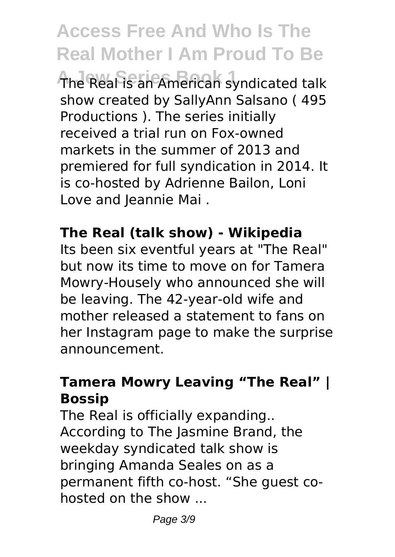**The Real is an American syndicated talk** show created by SallyAnn Salsano ( 495 Productions ). The series initially received a trial run on Fox-owned markets in the summer of 2013 and premiered for full syndication in 2014. It is co-hosted by Adrienne Bailon, Loni Love and leannie Mai.

#### **The Real (talk show) - Wikipedia**

Its been six eventful years at "The Real" but now its time to move on for Tamera Mowry-Housely who announced she will be leaving. The 42-year-old wife and mother released a statement to fans on her Instagram page to make the surprise announcement.

#### **Tamera Mowry Leaving "The Real" | Bossip**

The Real is officially expanding.. According to The Jasmine Brand, the weekday syndicated talk show is bringing Amanda Seales on as a permanent fifth co-host. "She guest cohosted on the show ...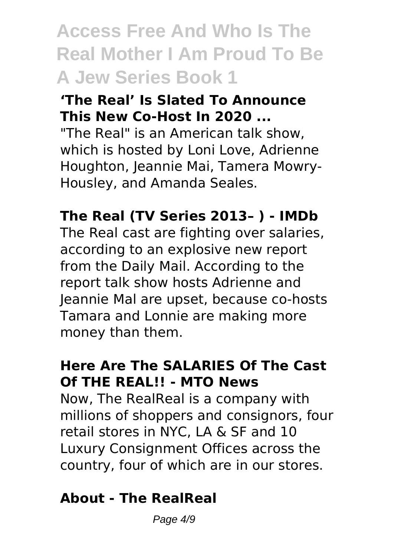# **Access Free And Who Is The Real Mother I Am Proud To Be A Jew Series Book 1**

#### **'The Real' Is Slated To Announce This New Co-Host In 2020 ...**

"The Real" is an American talk show, which is hosted by Loni Love, Adrienne Houghton, Jeannie Mai, Tamera Mowry-Housley, and Amanda Seales.

# **The Real (TV Series 2013– ) - IMDb**

The Real cast are fighting over salaries, according to an explosive new report from the Daily Mail. According to the report talk show hosts Adrienne and Jeannie Mal are upset, because co-hosts Tamara and Lonnie are making more money than them.

#### **Here Are The SALARIES Of The Cast Of THE REAL!! - MTO News**

Now, The RealReal is a company with millions of shoppers and consignors, four retail stores in NYC, LA & SF and 10 Luxury Consignment Offices across the country, four of which are in our stores.

#### **About - The RealReal**

Page  $4/9$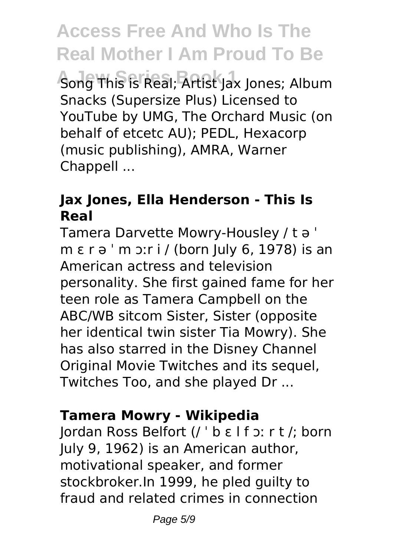*A* Song This is Real; Artist Jax Jones; Album Snacks (Supersize Plus) Licensed to YouTube by UMG, The Orchard Music (on behalf of etcetc AU); PEDL, Hexacorp (music publishing), AMRA, Warner Chappell ...

## **Jax Jones, Ella Henderson - This Is Real**

Tamera Darvette Mowry-Housley / t ə ˈ m ɛ r ə ˈ m ɔːr i / (born July 6, 1978) is an American actress and television personality. She first gained fame for her teen role as Tamera Campbell on the ABC/WB sitcom Sister, Sister (opposite her identical twin sister Tia Mowry). She has also starred in the Disney Channel Original Movie Twitches and its sequel, Twitches Too, and she played Dr ...

#### **Tamera Mowry - Wikipedia**

Jordan Ross Belfort (/ ˈ b ɛ l f ɔː r t /; born July 9, 1962) is an American author, motivational speaker, and former stockbroker.In 1999, he pled guilty to fraud and related crimes in connection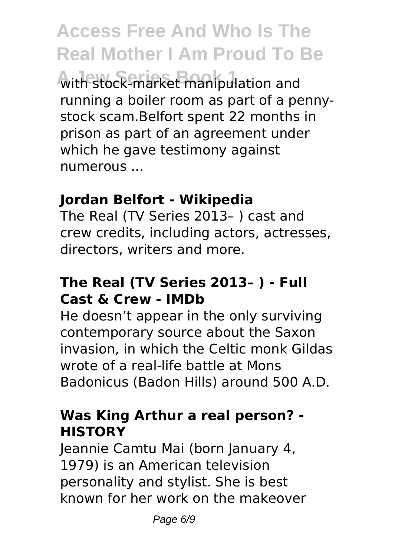**A Jew Series Book 1** with stock-market manipulation and running a boiler room as part of a pennystock scam.Belfort spent 22 months in prison as part of an agreement under which he gave testimony against numerous ...

#### **Jordan Belfort - Wikipedia**

The Real (TV Series 2013– ) cast and crew credits, including actors, actresses, directors, writers and more.

#### **The Real (TV Series 2013– ) - Full Cast & Crew - IMDb**

He doesn't appear in the only surviving contemporary source about the Saxon invasion, in which the Celtic monk Gildas wrote of a real-life battle at Mons Badonicus (Badon Hills) around 500 A.D.

## **Was King Arthur a real person? - HISTORY**

Jeannie Camtu Mai (born January 4, 1979) is an American television personality and stylist. She is best known for her work on the makeover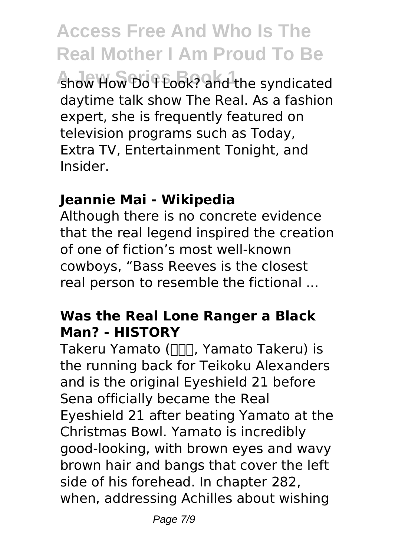**A Jew Series Book 1** show How Do I Look? and the syndicated daytime talk show The Real. As a fashion expert, she is frequently featured on television programs such as Today, Extra TV, Entertainment Tonight, and Insider.

#### **Jeannie Mai - Wikipedia**

Although there is no concrete evidence that the real legend inspired the creation of one of fiction's most well-known cowboys, "Bass Reeves is the closest real person to resemble the fictional ...

#### **Was the Real Lone Ranger a Black Man? - HISTORY**

Takeru Yamato (NN, Yamato Takeru) is the running back for Teikoku Alexanders and is the original Eyeshield 21 before Sena officially became the Real Eyeshield 21 after beating Yamato at the Christmas Bowl. Yamato is incredibly good-looking, with brown eyes and wavy brown hair and bangs that cover the left side of his forehead. In chapter 282, when, addressing Achilles about wishing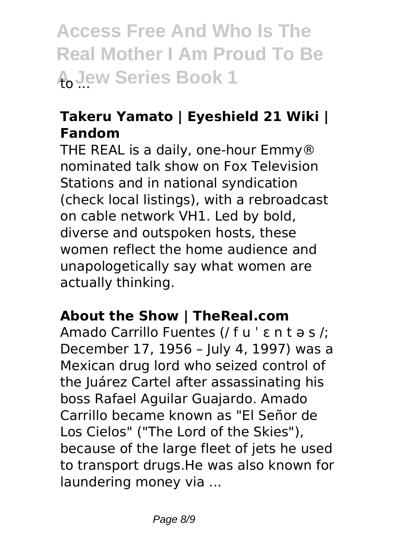**Access Free And Who Is The Real Mother I Am Proud To Be A Jew Series Book 1** 

# **Takeru Yamato | Eyeshield 21 Wiki | Fandom**

THE REAL is a daily, one-hour Emmy® nominated talk show on Fox Television Stations and in national syndication (check local listings), with a rebroadcast on cable network VH1. Led by bold, diverse and outspoken hosts, these women reflect the home audience and unapologetically say what women are actually thinking.

#### **About the Show | TheReal.com**

Amado Carrillo Fuentes (/ f u ˈ ɛ n t ə s /; December 17, 1956 – July 4, 1997) was a Mexican drug lord who seized control of the Juárez Cartel after assassinating his boss Rafael Aguilar Guajardo. Amado Carrillo became known as "El Señor de Los Cielos" ("The Lord of the Skies"), because of the large fleet of jets he used to transport drugs.He was also known for laundering money via ...